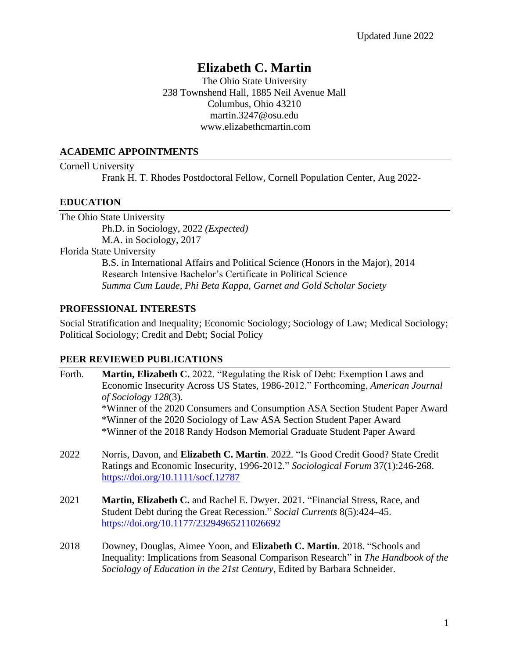# **Elizabeth C. Martin**

The Ohio State University 238 Townshend Hall, 1885 Neil Avenue Mall Columbus, Ohio 43210 [martin.3247@osu.edu](mailto:martin.3247@osu.edu) [www.elizabethcmartin.com](http://www.elizabethcmartin.com/) 

#### **ACADEMIC APPOINTMENTS**

Cornell University

Frank H. T. Rhodes Postdoctoral Fellow, Cornell Population Center, Aug 2022-

## **EDUCATION**

The Ohio State University Ph.D. in Sociology, 2022 *(Expected)* M.A. in Sociology, 2017 Florida State University B.S. in International Affairs and Political Science (Honors in the Major), 2014 Research Intensive Bachelor's Certificate in Political Science *Summa Cum Laude, Phi Beta Kappa, Garnet and Gold Scholar Society*

## **PROFESSIONAL INTERESTS**

Social Stratification and Inequality; Economic Sociology; Sociology of Law; Medical Sociology; Political Sociology; Credit and Debt; Social Policy

## **PEER REVIEWED PUBLICATIONS**

- Forth. **Martin, Elizabeth C.** 2022. "Regulating the Risk of Debt: Exemption Laws and Economic Insecurity Across US States, 1986-2012." Forthcoming, *American Journal of Sociology 128*(3). \*Winner of the 2020 Consumers and Consumption ASA Section Student Paper Award \*Winner of the 2020 Sociology of Law ASA Section Student Paper Award \*Winner of the 2018 Randy Hodson Memorial Graduate Student Paper Award
- 2022 Norris, Davon, and **Elizabeth C. Martin**. 2022*.* "Is Good Credit Good? State Credit Ratings and Economic Insecurity, 1996-2012." *Sociological Forum* 37(1):246-268. <https://doi.org/10.1111/socf.12787>
- 2021 **Martin, Elizabeth C.** and Rachel E. Dwyer. 2021. "Financial Stress, Race, and Student Debt during the Great Recession." *Social Currents* 8(5):424–45. <https://doi.org/10.1177/23294965211026692>
- 2018 Downey, Douglas, Aimee Yoon, and **Elizabeth C. Martin**. 2018. "Schools and Inequality: Implications from Seasonal Comparison Research" in *The Handbook of the Sociology of Education in the 21st Century*, Edited by Barbara Schneider.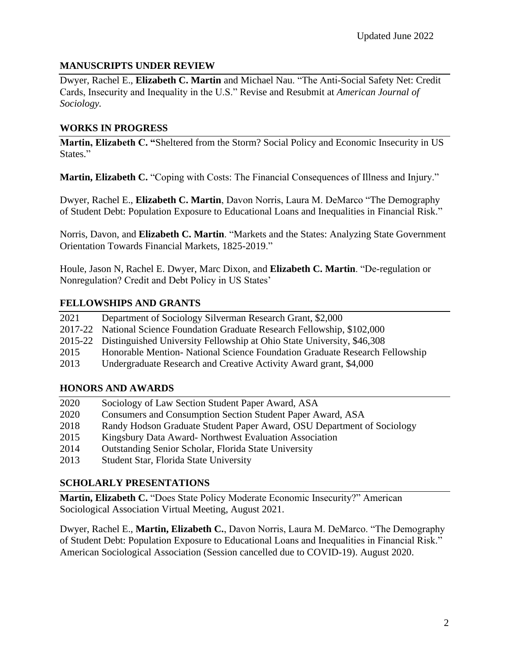## **MANUSCRIPTS UNDER REVIEW**

Dwyer, Rachel E., **Elizabeth C. Martin** and Michael Nau. "The Anti-Social Safety Net: Credit Cards, Insecurity and Inequality in the U.S." Revise and Resubmit at *American Journal of Sociology.*

# **WORKS IN PROGRESS**

**Martin, Elizabeth C. "**Sheltered from the Storm? Social Policy and Economic Insecurity in US States."

**Martin, Elizabeth C.** "Coping with Costs: The Financial Consequences of Illness and Injury."

Dwyer, Rachel E., **Elizabeth C. Martin**, Davon Norris, Laura M. DeMarco "The Demography of Student Debt: Population Exposure to Educational Loans and Inequalities in Financial Risk."

Norris, Davon, and **Elizabeth C. Martin**. "Markets and the States: Analyzing State Government Orientation Towards Financial Markets, 1825-2019."

Houle, Jason N, Rachel E. Dwyer, Marc Dixon, and **Elizabeth C. Martin**. "De-regulation or Nonregulation? Credit and Debt Policy in US States'

# **FELLOWSHIPS AND GRANTS**

| 2021 | Department of Sociology Silverman Research Grant, \$2,000                      |
|------|--------------------------------------------------------------------------------|
|      | 2017-22 National Science Foundation Graduate Research Fellowship, \$102,000    |
|      | 2015-22 Distinguished University Fellowship at Ohio State University, \$46,308 |
| 2015 | Honorable Mention- National Science Foundation Graduate Research Fellowship    |
| 2013 | Undergraduate Research and Creative Activity Award grant, \$4,000              |
|      |                                                                                |

## **HONORS AND AWARDS**

| 2020 | Sociology of Law Section Student Paper Award, ASA                      |
|------|------------------------------------------------------------------------|
| 2020 | Consumers and Consumption Section Student Paper Award, ASA             |
| 2018 | Randy Hodson Graduate Student Paper Award, OSU Department of Sociology |
| 2015 | Kingsbury Data Award- Northwest Evaluation Association                 |
| 2014 | <b>Outstanding Senior Scholar, Florida State University</b>            |
| 2013 | Student Star, Florida State University                                 |

## **SCHOLARLY PRESENTATIONS**

**Martin, Elizabeth C.** "Does State Policy Moderate Economic Insecurity?" American Sociological Association Virtual Meeting, August 2021.

Dwyer, Rachel E., **Martin, Elizabeth C.**, Davon Norris, Laura M. DeMarco. "The Demography of Student Debt: Population Exposure to Educational Loans and Inequalities in Financial Risk." American Sociological Association (Session cancelled due to COVID-19). August 2020.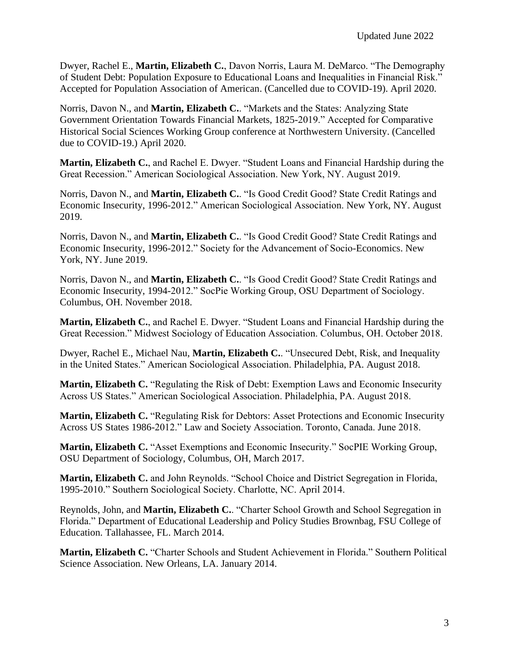Dwyer, Rachel E., **Martin, Elizabeth C.**, Davon Norris, Laura M. DeMarco. "The Demography of Student Debt: Population Exposure to Educational Loans and Inequalities in Financial Risk." Accepted for Population Association of American. (Cancelled due to COVID-19). April 2020.

Norris, Davon N., and **Martin, Elizabeth C.**. "Markets and the States: Analyzing State Government Orientation Towards Financial Markets, 1825-2019." Accepted for Comparative Historical Social Sciences Working Group conference at Northwestern University. (Cancelled due to COVID-19.) April 2020.

**Martin, Elizabeth C.**, and Rachel E. Dwyer. "Student Loans and Financial Hardship during the Great Recession." American Sociological Association. New York, NY. August 2019.

Norris, Davon N., and **Martin, Elizabeth C.**. "Is Good Credit Good? State Credit Ratings and Economic Insecurity, 1996-2012." American Sociological Association. New York, NY. August 2019.

Norris, Davon N., and **Martin, Elizabeth C.**. "Is Good Credit Good? State Credit Ratings and Economic Insecurity, 1996-2012." Society for the Advancement of Socio-Economics. New York, NY. June 2019.

Norris, Davon N., and **Martin, Elizabeth C.**. "Is Good Credit Good? State Credit Ratings and Economic Insecurity, 1994-2012." SocPie Working Group, OSU Department of Sociology. Columbus, OH. November 2018.

**Martin, Elizabeth C.**, and Rachel E. Dwyer. "Student Loans and Financial Hardship during the Great Recession." Midwest Sociology of Education Association. Columbus, OH. October 2018.

Dwyer, Rachel E., Michael Nau, **Martin, Elizabeth C.**. "Unsecured Debt, Risk, and Inequality in the United States." American Sociological Association. Philadelphia, PA. August 2018.

**Martin, Elizabeth C.** "Regulating the Risk of Debt: Exemption Laws and Economic Insecurity Across US States." American Sociological Association. Philadelphia, PA. August 2018.

**Martin, Elizabeth C.** "Regulating Risk for Debtors: Asset Protections and Economic Insecurity Across US States 1986-2012." Law and Society Association. Toronto, Canada. June 2018.

**Martin, Elizabeth C.** "Asset Exemptions and Economic Insecurity." SocPIE Working Group, OSU Department of Sociology, Columbus, OH, March 2017.

**Martin, Elizabeth C.** and John Reynolds. "School Choice and District Segregation in Florida, 1995-2010." Southern Sociological Society. Charlotte, NC. April 2014.

Reynolds, John, and **Martin, Elizabeth C.**. "Charter School Growth and School Segregation in Florida." Department of Educational Leadership and Policy Studies Brownbag, FSU College of Education. Tallahassee, FL. March 2014.

**Martin, Elizabeth C.** "Charter Schools and Student Achievement in Florida." Southern Political Science Association. New Orleans, LA. January 2014.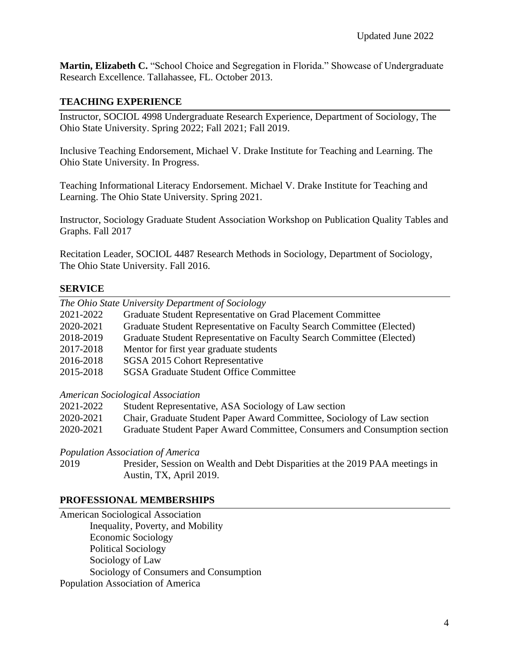**Martin, Elizabeth C.** "School Choice and Segregation in Florida." Showcase of Undergraduate Research Excellence. Tallahassee, FL. October 2013.

## **TEACHING EXPERIENCE**

Instructor, SOCIOL 4998 Undergraduate Research Experience, Department of Sociology, The Ohio State University. Spring 2022; Fall 2021; Fall 2019.

Inclusive Teaching Endorsement, Michael V. Drake Institute for Teaching and Learning. The Ohio State University. In Progress.

Teaching Informational Literacy Endorsement. Michael V. Drake Institute for Teaching and Learning. The Ohio State University. Spring 2021.

Instructor, Sociology Graduate Student Association Workshop on Publication Quality Tables and Graphs. Fall 2017

Recitation Leader, SOCIOL 4487 Research Methods in Sociology, Department of Sociology, The Ohio State University. Fall 2016.

# **SERVICE**

*American Sociological Association*

| 2021-2022 | Student Representative, ASA Sociology of Law section                      |
|-----------|---------------------------------------------------------------------------|
| 2020-2021 | Chair, Graduate Student Paper Award Committee, Sociology of Law section   |
| 2020-2021 | Graduate Student Paper Award Committee, Consumers and Consumption section |

*Population Association of America*

2019 Presider, Session on Wealth and Debt Disparities at the 2019 PAA meetings in Austin, TX, April 2019.

## **PROFESSIONAL MEMBERSHIPS**

American Sociological Association Inequality, Poverty, and Mobility Economic Sociology Political Sociology Sociology of Law Sociology of Consumers and Consumption Population Association of America